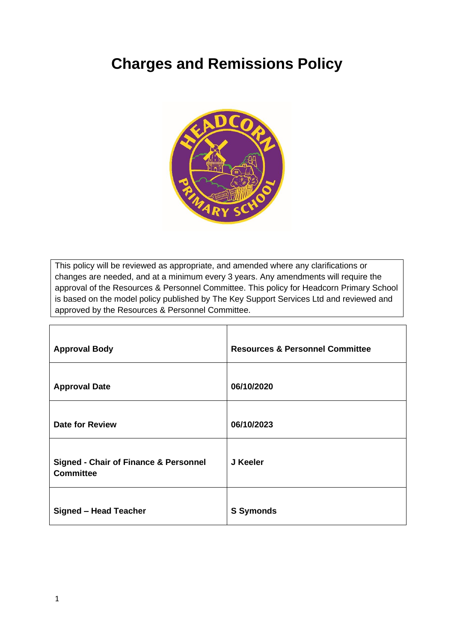# **Charges and Remissions Policy**



This policy will be reviewed as appropriate, and amended where any clarifications or changes are needed, and at a minimum every 3 years. Any amendments will require the approval of the Resources & Personnel Committee. This policy for Headcorn Primary School is based on the model policy published by The Key Support Services Ltd and reviewed and approved by the Resources & Personnel Committee.

| <b>Approval Body</b>                                                 | <b>Resources &amp; Personnel Committee</b> |
|----------------------------------------------------------------------|--------------------------------------------|
| <b>Approval Date</b>                                                 | 06/10/2020                                 |
| <b>Date for Review</b>                                               | 06/10/2023                                 |
| <b>Signed - Chair of Finance &amp; Personnel</b><br><b>Committee</b> | J Keeler                                   |
| <b>Signed - Head Teacher</b>                                         | <b>S</b> Symonds                           |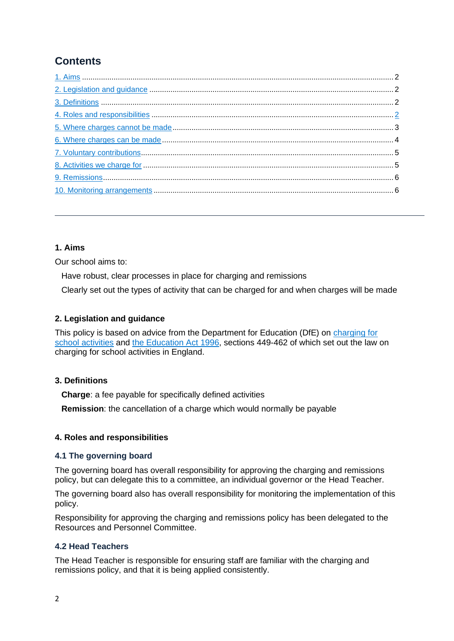## **Contents**

### <span id="page-1-0"></span>**1. Aims**

Our school aims to:

Have robust, clear processes in place for charging and remissions

Clearly set out the types of activity that can be charged for and when charges will be made

#### <span id="page-1-1"></span>**2. Legislation and guidance**

This policy is based on advice from the Department for Education (DfE) on [charging for](https://www.gov.uk/government/publications/charging-for-school-activities)  [school activities](https://www.gov.uk/government/publications/charging-for-school-activities) and [the Education Act 1996,](http://www.legislation.gov.uk/ukpga/1996/56/part/VI/chapter/III) sections 449-462 of which set out the law on charging for school activities in England.

#### <span id="page-1-2"></span>**3. Definitions**

**Charge**: a fee payable for specifically defined activities

**Remission**: the cancellation of a charge which would normally be payable

#### <span id="page-1-3"></span>**4. Roles and responsibilities**

#### **4.1 The governing board**

The governing board has overall responsibility for approving the charging and remissions policy, but can delegate this to a committee, an individual governor or the Head Teacher.

The governing board also has overall responsibility for monitoring the implementation of this policy.

Responsibility for approving the charging and remissions policy has been delegated to the Resources and Personnel Committee.

#### **4.2 Head Teachers**

The Head Teacher is responsible for ensuring staff are familiar with the charging and remissions policy, and that it is being applied consistently.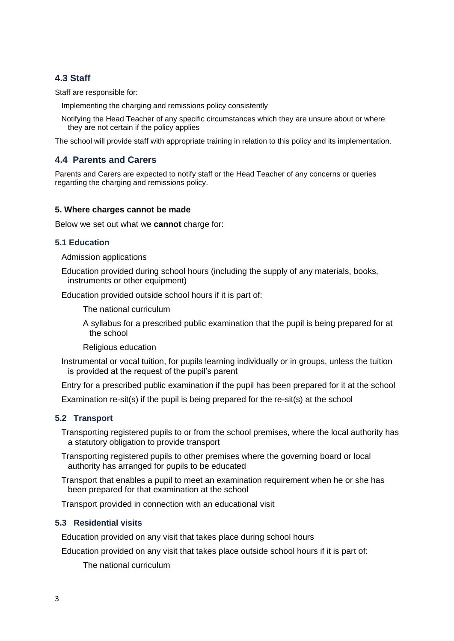#### **4.3 Staff**

Staff are responsible for:

Implementing the charging and remissions policy consistently

Notifying the Head Teacher of any specific circumstances which they are unsure about or where they are not certain if the policy applies

The school will provide staff with appropriate training in relation to this policy and its implementation.

#### **4.4 Parents and Carers**

Parents and Carers are expected to notify staff or the Head Teacher of any concerns or queries regarding the charging and remissions policy.

#### <span id="page-2-0"></span>**5. Where charges cannot be made**

Below we set out what we **cannot** charge for:

#### **5.1 Education**

Admission applications

Education provided during school hours (including the supply of any materials, books, instruments or other equipment)

Education provided outside school hours if it is part of:

The national curriculum

A syllabus for a prescribed public examination that the pupil is being prepared for at the school

Religious education

Instrumental or vocal tuition, for pupils learning individually or in groups, unless the tuition is provided at the request of the pupil's parent

Entry for a prescribed public examination if the pupil has been prepared for it at the school

Examination re-sit(s) if the pupil is being prepared for the re-sit(s) at the school

#### **5.2 Transport**

Transporting registered pupils to or from the school premises, where the local authority has a statutory obligation to provide transport

Transporting registered pupils to other premises where the governing board or local authority has arranged for pupils to be educated

Transport that enables a pupil to meet an examination requirement when he or she has been prepared for that examination at the school

Transport provided in connection with an educational visit

#### **5.3 Residential visits**

Education provided on any visit that takes place during school hours

Education provided on any visit that takes place outside school hours if it is part of:

The national curriculum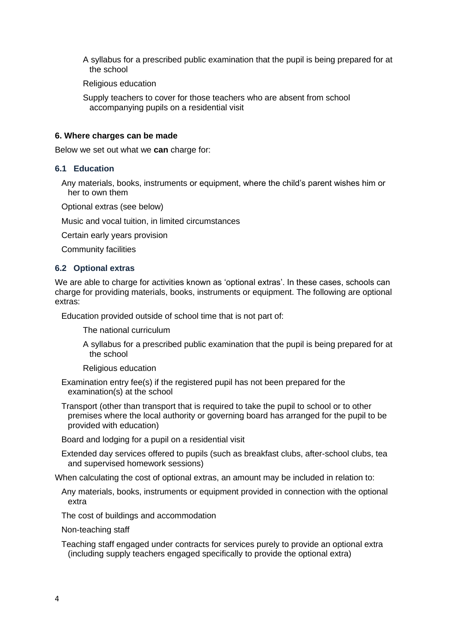A syllabus for a prescribed public examination that the pupil is being prepared for at the school

Religious education

Supply teachers to cover for those teachers who are absent from school accompanying pupils on a residential visit

#### <span id="page-3-0"></span>**6. Where charges can be made**

Below we set out what we **can** charge for:

#### **6.1 Education**

Any materials, books, instruments or equipment, where the child's parent wishes him or her to own them

Optional extras (see below)

Music and vocal tuition, in limited circumstances

Certain early years provision

Community facilities

#### **6.2 Optional extras**

We are able to charge for activities known as 'optional extras'. In these cases, schools can charge for providing materials, books, instruments or equipment. The following are optional extras:

Education provided outside of school time that is not part of:

The national curriculum

A syllabus for a prescribed public examination that the pupil is being prepared for at the school

Religious education

Examination entry fee(s) if the registered pupil has not been prepared for the examination(s) at the school

Transport (other than transport that is required to take the pupil to school or to other premises where the local authority or governing board has arranged for the pupil to be provided with education)

Board and lodging for a pupil on a residential visit

Extended day services offered to pupils (such as breakfast clubs, after-school clubs, tea and supervised homework sessions)

When calculating the cost of optional extras, an amount may be included in relation to:

Any materials, books, instruments or equipment provided in connection with the optional extra

The cost of buildings and accommodation

Non-teaching staff

Teaching staff engaged under contracts for services purely to provide an optional extra (including supply teachers engaged specifically to provide the optional extra)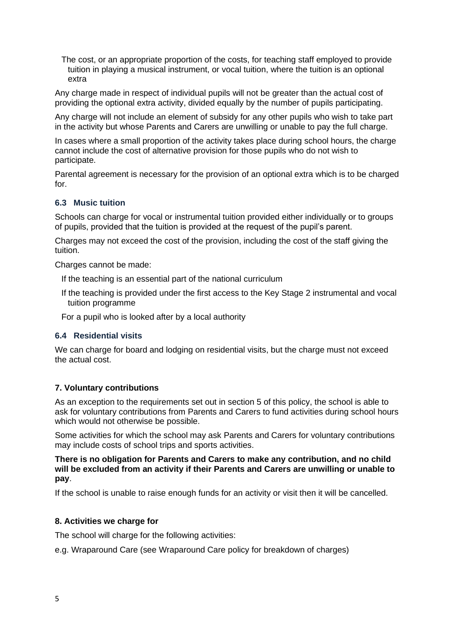The cost, or an appropriate proportion of the costs, for teaching staff employed to provide tuition in playing a musical instrument, or vocal tuition, where the tuition is an optional extra

Any charge made in respect of individual pupils will not be greater than the actual cost of providing the optional extra activity, divided equally by the number of pupils participating.

Any charge will not include an element of subsidy for any other pupils who wish to take part in the activity but whose Parents and Carers are unwilling or unable to pay the full charge.

In cases where a small proportion of the activity takes place during school hours, the charge cannot include the cost of alternative provision for those pupils who do not wish to participate.

Parental agreement is necessary for the provision of an optional extra which is to be charged for.

#### **6.3 Music tuition**

Schools can charge for vocal or instrumental tuition provided either individually or to groups of pupils, provided that the tuition is provided at the request of the pupil's parent.

Charges may not exceed the cost of the provision, including the cost of the staff giving the tuition.

Charges cannot be made:

- If the teaching is an essential part of the national curriculum
- If the teaching is provided under the first access to the Key Stage 2 instrumental and vocal tuition programme

For a pupil who is looked after by a local authority

#### **6.4 Residential visits**

We can charge for board and lodging on residential visits, but the charge must not exceed the actual cost.

#### <span id="page-4-0"></span>**7. Voluntary contributions**

As an exception to the requirements set out in section 5 of this policy, the school is able to ask for voluntary contributions from Parents and Carers to fund activities during school hours which would not otherwise be possible.

Some activities for which the school may ask Parents and Carers for voluntary contributions may include costs of school trips and sports activities.

#### **There is no obligation for Parents and Carers to make any contribution, and no child will be excluded from an activity if their Parents and Carers are unwilling or unable to pay**.

If the school is unable to raise enough funds for an activity or visit then it will be cancelled.

#### <span id="page-4-1"></span>**8. Activities we charge for**

The school will charge for the following activities:

e.g. Wraparound Care (see Wraparound Care policy for breakdown of charges)